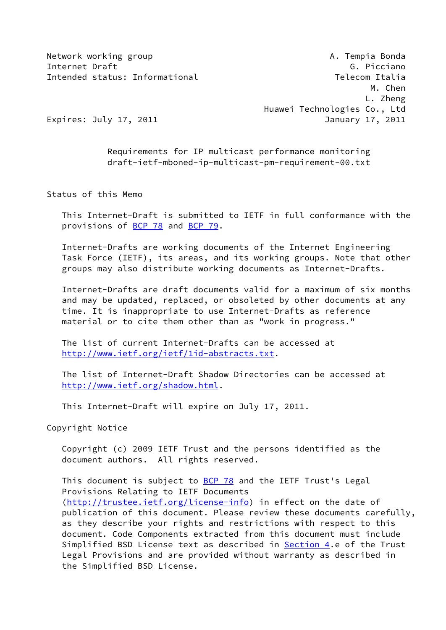Network working group and the state of the state of the A. Tempia Bonda Internet Draft G. Picciano Intended status: Informational Telecom Italia

 M. Chen L. Zheng Huawei Technologies Co., Ltd Expires: July 17, 2011 **Immunolehean Property 17, 2011** 

 Requirements for IP multicast performance monitoring draft-ietf-mboned-ip-multicast-pm-requirement-00.txt

Status of this Memo

 This Internet-Draft is submitted to IETF in full conformance with the provisions of [BCP 78](https://datatracker.ietf.org/doc/pdf/bcp78) and [BCP 79](https://datatracker.ietf.org/doc/pdf/bcp79).

 Internet-Drafts are working documents of the Internet Engineering Task Force (IETF), its areas, and its working groups. Note that other groups may also distribute working documents as Internet-Drafts.

 Internet-Drafts are draft documents valid for a maximum of six months and may be updated, replaced, or obsoleted by other documents at any time. It is inappropriate to use Internet-Drafts as reference material or to cite them other than as "work in progress."

 The list of current Internet-Drafts can be accessed at <http://www.ietf.org/ietf/1id-abstracts.txt>.

 The list of Internet-Draft Shadow Directories can be accessed at <http://www.ietf.org/shadow.html>.

This Internet-Draft will expire on July 17, 2011.

Copyright Notice

 Copyright (c) 2009 IETF Trust and the persons identified as the document authors. All rights reserved.

This document is subject to [BCP 78](https://datatracker.ietf.org/doc/pdf/bcp78) and the IETF Trust's Legal Provisions Relating to IETF Documents [\(http://trustee.ietf.org/license-info](http://trustee.ietf.org/license-info)) in effect on the date of publication of this document. Please review these documents carefully, as they describe your rights and restrictions with respect to this document. Code Components extracted from this document must include Simplified BSD License text as described in **[Section 4.](#page-5-0)e** of the Trust Legal Provisions and are provided without warranty as described in the Simplified BSD License.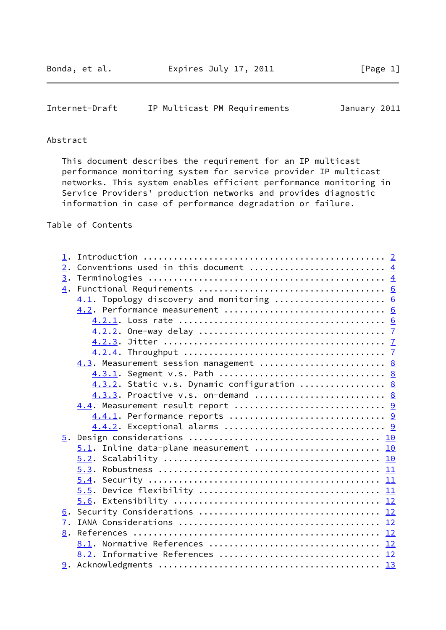### <span id="page-1-0"></span>Internet-Draft IP Multicast PM Requirements January 2011

# Abstract

 This document describes the requirement for an IP multicast performance monitoring system for service provider IP multicast networks. This system enables efficient performance monitoring in Service Providers' production networks and provides diagnostic information in case of performance degradation or failure.

Table of Contents

| 1. |                                             |  |
|----|---------------------------------------------|--|
| 2. |                                             |  |
| 3. |                                             |  |
|    |                                             |  |
|    | 4.1. Topology discovery and monitoring  6   |  |
|    |                                             |  |
|    |                                             |  |
|    |                                             |  |
|    |                                             |  |
|    |                                             |  |
|    | 4.3. Measurement session management  8      |  |
|    |                                             |  |
|    | 4.3.2. Static v.s. Dynamic configuration  8 |  |
|    | 4.3.3. Proactive v.s. on-demand  8          |  |
|    | 4.4. Measurement result report  9           |  |
|    |                                             |  |
|    |                                             |  |
|    |                                             |  |
|    | $5.1$ . Inline data-plane measurement  10   |  |
|    |                                             |  |
|    | 5.3.                                        |  |
|    |                                             |  |
|    |                                             |  |
|    |                                             |  |
|    |                                             |  |
| 7. |                                             |  |
| 8. |                                             |  |
|    | 8.1. Normative References  12               |  |
|    | 8.2. Informative References  12             |  |
|    |                                             |  |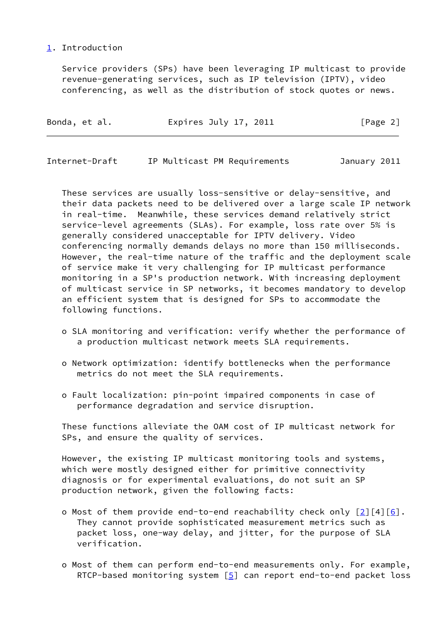## <span id="page-2-0"></span>[1](#page-2-0). Introduction

 Service providers (SPs) have been leveraging IP multicast to provide revenue-generating services, such as IP television (IPTV), video conferencing, as well as the distribution of stock quotes or news.

| Expires July 17, 2011<br>Bonda, et al. | [Page 2] |
|----------------------------------------|----------|
|----------------------------------------|----------|

| Internet-Draft |  | IP Multicast PM Requirements | January 2011 |  |
|----------------|--|------------------------------|--------------|--|
|                |  |                              |              |  |

 These services are usually loss-sensitive or delay-sensitive, and their data packets need to be delivered over a large scale IP network in real-time. Meanwhile, these services demand relatively strict service-level agreements (SLAs). For example, loss rate over 5% is generally considered unacceptable for IPTV delivery. Video conferencing normally demands delays no more than 150 milliseconds. However, the real-time nature of the traffic and the deployment scale of service make it very challenging for IP multicast performance monitoring in a SP's production network. With increasing deployment of multicast service in SP networks, it becomes mandatory to develop an efficient system that is designed for SPs to accommodate the following functions.

- o SLA monitoring and verification: verify whether the performance of a production multicast network meets SLA requirements.
- o Network optimization: identify bottlenecks when the performance metrics do not meet the SLA requirements.
- o Fault localization: pin-point impaired components in case of performance degradation and service disruption.

 These functions alleviate the OAM cost of IP multicast network for SPs, and ensure the quality of services.

 However, the existing IP multicast monitoring tools and systems, which were mostly designed either for primitive connectivity diagnosis or for experimental evaluations, do not suit an SP production network, given the following facts:

- o Most of them provide end-to-end reachability check only  $\lceil 2 \rceil \lceil 4 \rceil \lceil 6 \rceil$ . They cannot provide sophisticated measurement metrics such as packet loss, one-way delay, and jitter, for the purpose of SLA verification.
- o Most of them can perform end-to-end measurements only. For example, RTCP-based monitoring system  $[5]$  $[5]$  can report end-to-end packet loss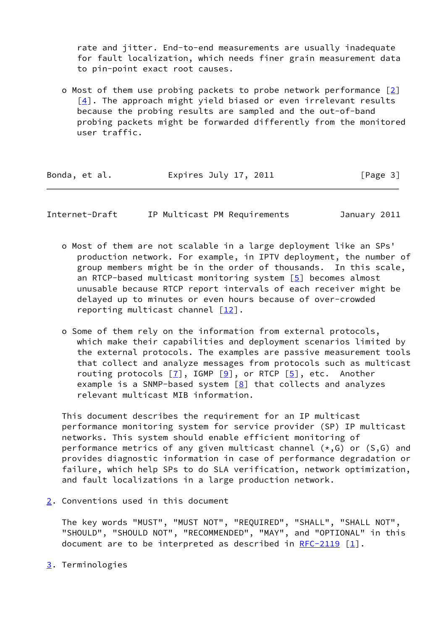rate and jitter. End-to-end measurements are usually inadequate for fault localization, which needs finer grain measurement data to pin-point exact root causes.

 o Most of them use probing packets to probe network performance [\[2](#page-12-7)] [[4\]](#page-12-9). The approach might yield biased or even irrelevant results because the probing results are sampled and the out-of-band probing packets might be forwarded differently from the monitored user traffic.

| Bonda, et al. | Expires July 17, 2011 | [Page 3] |
|---------------|-----------------------|----------|
|               |                       |          |

<span id="page-3-1"></span>Internet-Draft IP Multicast PM Requirements January 2011

- o Most of them are not scalable in a large deployment like an SPs' production network. For example, in IPTV deployment, the number of group members might be in the order of thousands. In this scale, an RTCP-based multicast monitoring system [\[5\]](#page-12-8) becomes almost unusable because RTCP report intervals of each receiver might be delayed up to minutes or even hours because of over-crowded reporting multicast channel [\[12](#page-13-3)].
- o Some of them rely on the information from external protocols, which make their capabilities and deployment scenarios limited by the external protocols. The examples are passive measurement tools that collect and analyze messages from protocols such as multicast routing protocols  $[7]$ , IGMP  $[9]$  $[9]$ , or RTCP  $[5]$  $[5]$ , etc. Another example is a SNMP-based system [[8\]](#page-13-6) that collects and analyzes relevant multicast MIB information.

 This document describes the requirement for an IP multicast performance monitoring system for service provider (SP) IP multicast networks. This system should enable efficient monitoring of performance metrics of any given multicast channel  $(*, G)$  or  $(S, G)$  and provides diagnostic information in case of performance degradation or failure, which help SPs to do SLA verification, network optimization, and fault localizations in a large production network.

<span id="page-3-0"></span>[2](#page-3-0). Conventions used in this document

 The key words "MUST", "MUST NOT", "REQUIRED", "SHALL", "SHALL NOT", "SHOULD", "SHOULD NOT", "RECOMMENDED", "MAY", and "OPTIONAL" in this document are to be interpreted as described in  $RFC-2119$  [\[1](#page-12-10)].

<span id="page-3-2"></span>[3](#page-3-2). Terminologies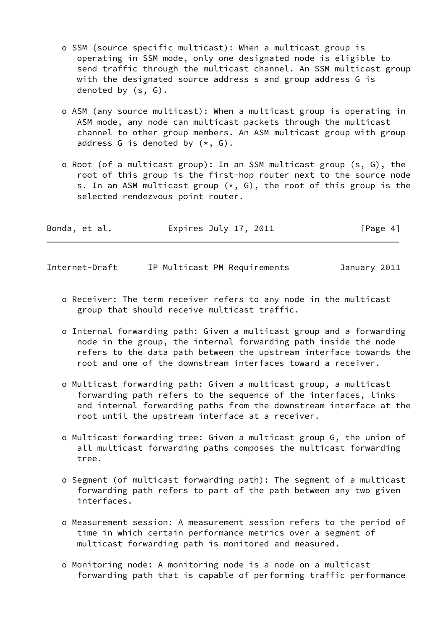- o SSM (source specific multicast): When a multicast group is operating in SSM mode, only one designated node is eligible to send traffic through the multicast channel. An SSM multicast group with the designated source address s and group address G is denoted by (s, G).
- o ASM (any source multicast): When a multicast group is operating in ASM mode, any node can multicast packets through the multicast channel to other group members. An ASM multicast group with group address G is denoted by  $(*, G)$ .
- o Root (of a multicast group): In an SSM multicast group (s, G), the root of this group is the first-hop router next to the source node s. In an ASM multicast group  $(*, G)$ , the root of this group is the selected rendezvous point router.

| Bonda, et al. | Expires July 17, 2011 | [Page 4] |
|---------------|-----------------------|----------|
|               |                       |          |

Internet-Draft IP Multicast PM Requirements January 2011

- o Receiver: The term receiver refers to any node in the multicast group that should receive multicast traffic.
- o Internal forwarding path: Given a multicast group and a forwarding node in the group, the internal forwarding path inside the node refers to the data path between the upstream interface towards the root and one of the downstream interfaces toward a receiver.
- o Multicast forwarding path: Given a multicast group, a multicast forwarding path refers to the sequence of the interfaces, links and internal forwarding paths from the downstream interface at the root until the upstream interface at a receiver.
- o Multicast forwarding tree: Given a multicast group G, the union of all multicast forwarding paths composes the multicast forwarding tree.
- o Segment (of multicast forwarding path): The segment of a multicast forwarding path refers to part of the path between any two given interfaces.
- o Measurement session: A measurement session refers to the period of time in which certain performance metrics over a segment of multicast forwarding path is monitored and measured.
- o Monitoring node: A monitoring node is a node on a multicast forwarding path that is capable of performing traffic performance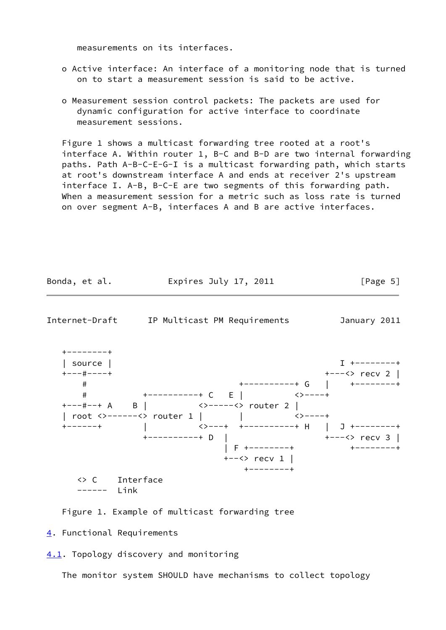measurements on its interfaces.

- o Active interface: An interface of a monitoring node that is turned on to start a measurement session is said to be active.
- o Measurement session control packets: The packets are used for dynamic configuration for active interface to coordinate measurement sessions.

Figure 1 shows a multicast forwarding tree rooted at a root's interface A. Within router 1, B-C and B-D are two internal forwarding paths. Path A-B-C-E-G-I is a multicast forwarding path, which starts at root's downstream interface A and ends at receiver 2's upstream interface I. A-B, B-C-E are two segments of this forwarding path. When a measurement session for a metric such as loss rate is turned on over segment A-B, interfaces A and B are active interfaces.

<span id="page-5-1"></span>

Figure 1. Example of multicast forwarding tree

<span id="page-5-0"></span>[4](#page-5-0). Functional Requirements

<span id="page-5-2"></span>[4.1](#page-5-2). Topology discovery and monitoring

The monitor system SHOULD have mechanisms to collect topology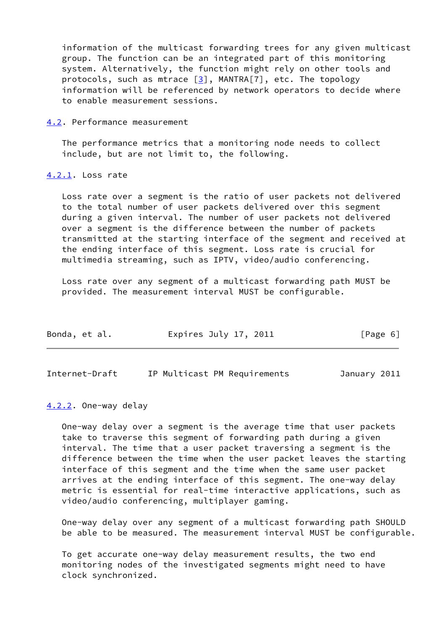information of the multicast forwarding trees for any given multicast group. The function can be an integrated part of this monitoring system. Alternatively, the function might rely on other tools and protocols, such as mtrace  $[3]$  $[3]$ , MANTRA $[7]$ , etc. The topology information will be referenced by network operators to decide where to enable measurement sessions.

<span id="page-6-0"></span>[4.2](#page-6-0). Performance measurement

 The performance metrics that a monitoring node needs to collect include, but are not limit to, the following.

### <span id="page-6-1"></span>[4.2.1](#page-6-1). Loss rate

 Loss rate over a segment is the ratio of user packets not delivered to the total number of user packets delivered over this segment during a given interval. The number of user packets not delivered over a segment is the difference between the number of packets transmitted at the starting interface of the segment and received at the ending interface of this segment. Loss rate is crucial for multimedia streaming, such as IPTV, video/audio conferencing.

 Loss rate over any segment of a multicast forwarding path MUST be provided. The measurement interval MUST be configurable.

| Bonda, et al. | Expires July 17, 2011 | [Page 6] |
|---------------|-----------------------|----------|
|               |                       |          |

<span id="page-6-3"></span>Internet-Draft IP Multicast PM Requirements January 2011

<span id="page-6-2"></span>[4.2.2](#page-6-2). One-way delay

 One-way delay over a segment is the average time that user packets take to traverse this segment of forwarding path during a given interval. The time that a user packet traversing a segment is the difference between the time when the user packet leaves the starting interface of this segment and the time when the same user packet arrives at the ending interface of this segment. The one-way delay metric is essential for real-time interactive applications, such as video/audio conferencing, multiplayer gaming.

 One-way delay over any segment of a multicast forwarding path SHOULD be able to be measured. The measurement interval MUST be configurable.

 To get accurate one-way delay measurement results, the two end monitoring nodes of the investigated segments might need to have clock synchronized.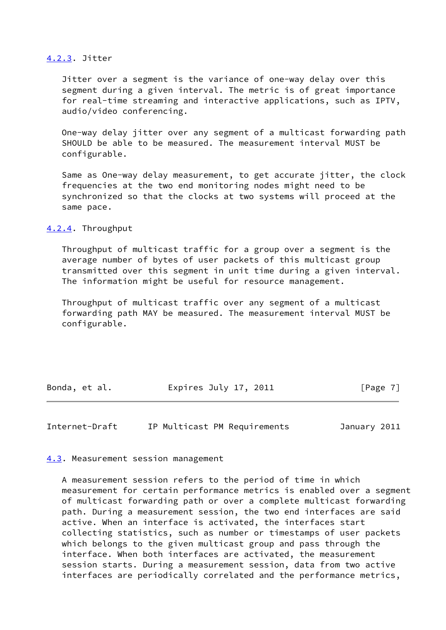#### <span id="page-7-0"></span>[4.2.3](#page-7-0). Jitter

 Jitter over a segment is the variance of one-way delay over this segment during a given interval. The metric is of great importance for real-time streaming and interactive applications, such as IPTV, audio/video conferencing.

 One-way delay jitter over any segment of a multicast forwarding path SHOULD be able to be measured. The measurement interval MUST be configurable.

 Same as One-way delay measurement, to get accurate jitter, the clock frequencies at the two end monitoring nodes might need to be synchronized so that the clocks at two systems will proceed at the same pace.

#### <span id="page-7-1"></span>[4.2.4](#page-7-1). Throughput

 Throughput of multicast traffic for a group over a segment is the average number of bytes of user packets of this multicast group transmitted over this segment in unit time during a given interval. The information might be useful for resource management.

 Throughput of multicast traffic over any segment of a multicast forwarding path MAY be measured. The measurement interval MUST be configurable.

| Expires July 17, 2011<br>Bonda, et al. |  | [Page 7] |  |
|----------------------------------------|--|----------|--|
|----------------------------------------|--|----------|--|

<span id="page-7-3"></span>Internet-Draft IP Multicast PM Requirements January 2011

<span id="page-7-2"></span>[4.3](#page-7-2). Measurement session management

 A measurement session refers to the period of time in which measurement for certain performance metrics is enabled over a segment of multicast forwarding path or over a complete multicast forwarding path. During a measurement session, the two end interfaces are said active. When an interface is activated, the interfaces start collecting statistics, such as number or timestamps of user packets which belongs to the given multicast group and pass through the interface. When both interfaces are activated, the measurement session starts. During a measurement session, data from two active interfaces are periodically correlated and the performance metrics,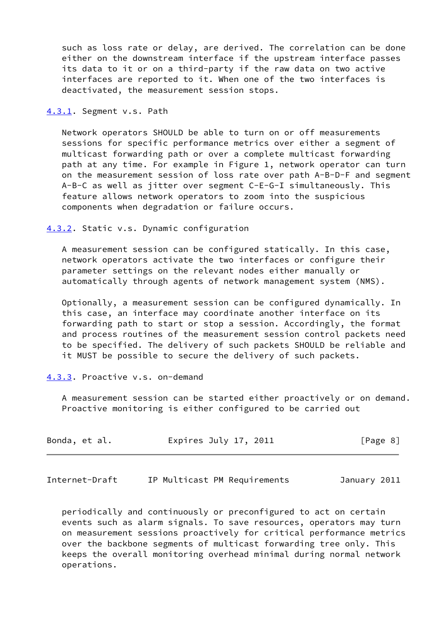such as loss rate or delay, are derived. The correlation can be done either on the downstream interface if the upstream interface passes its data to it or on a third-party if the raw data on two active interfaces are reported to it. When one of the two interfaces is deactivated, the measurement session stops.

<span id="page-8-0"></span>[4.3.1](#page-8-0). Segment v.s. Path

 Network operators SHOULD be able to turn on or off measurements sessions for specific performance metrics over either a segment of multicast forwarding path or over a complete multicast forwarding path at any time. For example in Figure 1, network operator can turn on the measurement session of loss rate over path A-B-D-F and segment A-B-C as well as jitter over segment C-E-G-I simultaneously. This feature allows network operators to zoom into the suspicious components when degradation or failure occurs.

<span id="page-8-1"></span>[4.3.2](#page-8-1). Static v.s. Dynamic configuration

 A measurement session can be configured statically. In this case, network operators activate the two interfaces or configure their parameter settings on the relevant nodes either manually or automatically through agents of network management system (NMS).

 Optionally, a measurement session can be configured dynamically. In this case, an interface may coordinate another interface on its forwarding path to start or stop a session. Accordingly, the format and process routines of the measurement session control packets need to be specified. The delivery of such packets SHOULD be reliable and it MUST be possible to secure the delivery of such packets.

### <span id="page-8-2"></span>[4.3.3](#page-8-2). Proactive v.s. on-demand

 A measurement session can be started either proactively or on demand. Proactive monitoring is either configured to be carried out

| Bonda, et al. | Expires July 17, 2011 | [Page 8] |
|---------------|-----------------------|----------|
|---------------|-----------------------|----------|

<span id="page-8-3"></span>Internet-Draft IP Multicast PM Requirements January 2011

 periodically and continuously or preconfigured to act on certain events such as alarm signals. To save resources, operators may turn on measurement sessions proactively for critical performance metrics over the backbone segments of multicast forwarding tree only. This keeps the overall monitoring overhead minimal during normal network operations.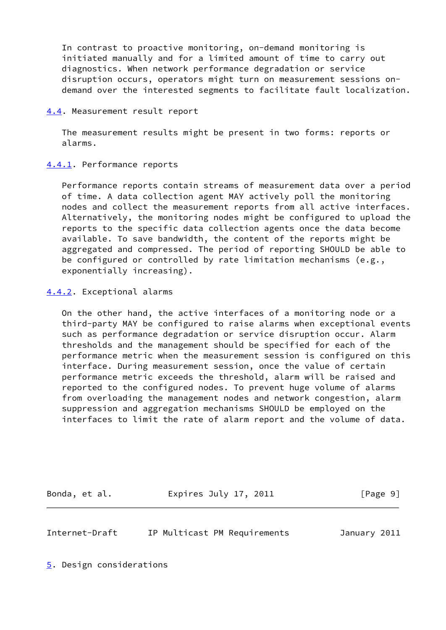In contrast to proactive monitoring, on-demand monitoring is initiated manually and for a limited amount of time to carry out diagnostics. When network performance degradation or service disruption occurs, operators might turn on measurement sessions on demand over the interested segments to facilitate fault localization.

#### <span id="page-9-0"></span>[4.4](#page-9-0). Measurement result report

 The measurement results might be present in two forms: reports or alarms.

### <span id="page-9-1"></span>[4.4.1](#page-9-1). Performance reports

 Performance reports contain streams of measurement data over a period of time. A data collection agent MAY actively poll the monitoring nodes and collect the measurement reports from all active interfaces. Alternatively, the monitoring nodes might be configured to upload the reports to the specific data collection agents once the data become available. To save bandwidth, the content of the reports might be aggregated and compressed. The period of reporting SHOULD be able to be configured or controlled by rate limitation mechanisms (e.g., exponentially increasing).

#### <span id="page-9-2"></span>[4.4.2](#page-9-2). Exceptional alarms

 On the other hand, the active interfaces of a monitoring node or a third-party MAY be configured to raise alarms when exceptional events such as performance degradation or service disruption occur. Alarm thresholds and the management should be specified for each of the performance metric when the measurement session is configured on this interface. During measurement session, once the value of certain performance metric exceeds the threshold, alarm will be raised and reported to the configured nodes. To prevent huge volume of alarms from overloading the management nodes and network congestion, alarm suppression and aggregation mechanisms SHOULD be employed on the interfaces to limit the rate of alarm report and the volume of data.

Bonda, et al. **Expires July 17, 2011** [Page 9]

<span id="page-9-4"></span>

Internet-Draft IP Multicast PM Requirements January 2011

<span id="page-9-3"></span>[5](#page-9-3). Design considerations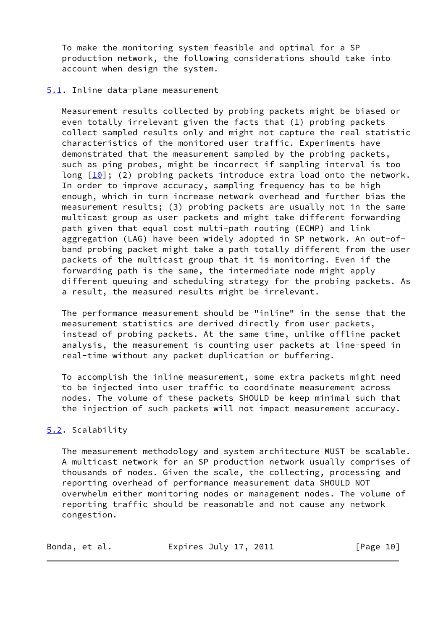To make the monitoring system feasible and optimal for a SP production network, the following considerations should take into account when design the system.

#### <span id="page-10-0"></span>[5.1](#page-10-0). Inline data-plane measurement

 Measurement results collected by probing packets might be biased or even totally irrelevant given the facts that (1) probing packets collect sampled results only and might not capture the real statistic characteristics of the monitored user traffic. Experiments have demonstrated that the measurement sampled by the probing packets, such as ping probes, might be incorrect if sampling interval is too long [\[10\]](#page-13-7); (2) probing packets introduce extra load onto the network. In order to improve accuracy, sampling frequency has to be high enough, which in turn increase network overhead and further bias the measurement results; (3) probing packets are usually not in the same multicast group as user packets and might take different forwarding path given that equal cost multi-path routing (ECMP) and link aggregation (LAG) have been widely adopted in SP network. An out-of band probing packet might take a path totally different from the user packets of the multicast group that it is monitoring. Even if the forwarding path is the same, the intermediate node might apply different queuing and scheduling strategy for the probing packets. As a result, the measured results might be irrelevant.

 The performance measurement should be "inline" in the sense that the measurement statistics are derived directly from user packets, instead of probing packets. At the same time, unlike offline packet analysis, the measurement is counting user packets at line-speed in real-time without any packet duplication or buffering.

 To accomplish the inline measurement, some extra packets might need to be injected into user traffic to coordinate measurement across nodes. The volume of these packets SHOULD be keep minimal such that the injection of such packets will not impact measurement accuracy.

### <span id="page-10-1"></span>[5.2](#page-10-1). Scalability

 The measurement methodology and system architecture MUST be scalable. A multicast network for an SP production network usually comprises of thousands of nodes. Given the scale, the collecting, processing and reporting overhead of performance measurement data SHOULD NOT overwhelm either monitoring nodes or management nodes. The volume of reporting traffic should be reasonable and not cause any network congestion.

| Bonda, et al. | Expires July 17, 2011 | [Page 10] |
|---------------|-----------------------|-----------|
|---------------|-----------------------|-----------|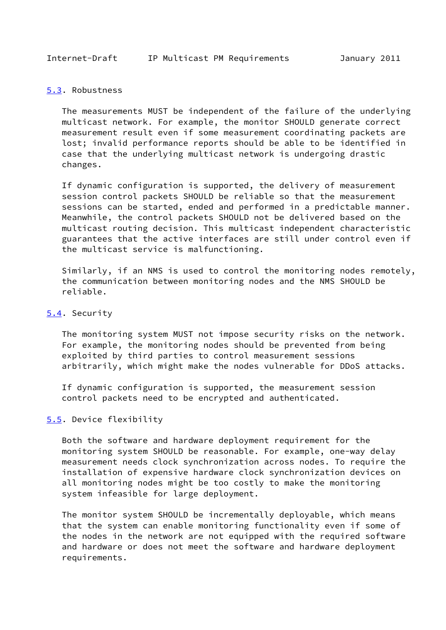#### <span id="page-11-1"></span><span id="page-11-0"></span>[5.3](#page-11-0). Robustness

 The measurements MUST be independent of the failure of the underlying multicast network. For example, the monitor SHOULD generate correct measurement result even if some measurement coordinating packets are lost; invalid performance reports should be able to be identified in case that the underlying multicast network is undergoing drastic changes.

 If dynamic configuration is supported, the delivery of measurement session control packets SHOULD be reliable so that the measurement sessions can be started, ended and performed in a predictable manner. Meanwhile, the control packets SHOULD not be delivered based on the multicast routing decision. This multicast independent characteristic guarantees that the active interfaces are still under control even if the multicast service is malfunctioning.

 Similarly, if an NMS is used to control the monitoring nodes remotely, the communication between monitoring nodes and the NMS SHOULD be reliable.

### <span id="page-11-2"></span>[5.4](#page-11-2). Security

 The monitoring system MUST not impose security risks on the network. For example, the monitoring nodes should be prevented from being exploited by third parties to control measurement sessions arbitrarily, which might make the nodes vulnerable for DDoS attacks.

 If dynamic configuration is supported, the measurement session control packets need to be encrypted and authenticated.

#### <span id="page-11-3"></span>[5.5](#page-11-3). Device flexibility

 Both the software and hardware deployment requirement for the monitoring system SHOULD be reasonable. For example, one-way delay measurement needs clock synchronization across nodes. To require the installation of expensive hardware clock synchronization devices on all monitoring nodes might be too costly to make the monitoring system infeasible for large deployment.

 The monitor system SHOULD be incrementally deployable, which means that the system can enable monitoring functionality even if some of the nodes in the network are not equipped with the required software and hardware or does not meet the software and hardware deployment requirements.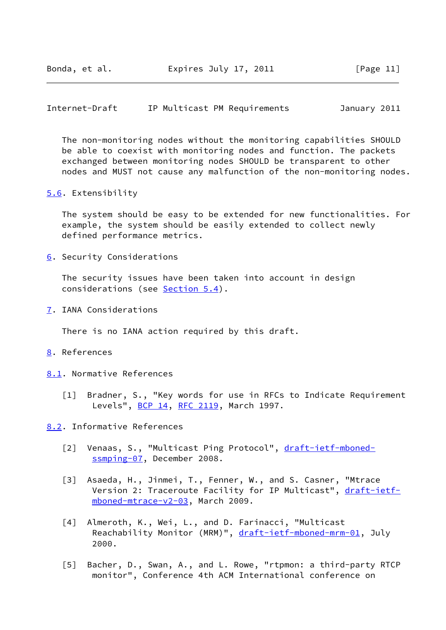<span id="page-12-1"></span>Internet-Draft IP Multicast PM Requirements January 2011

 The non-monitoring nodes without the monitoring capabilities SHOULD be able to coexist with monitoring nodes and function. The packets exchanged between monitoring nodes SHOULD be transparent to other nodes and MUST not cause any malfunction of the non-monitoring nodes.

<span id="page-12-0"></span>[5.6](#page-12-0). Extensibility

 The system should be easy to be extended for new functionalities. For example, the system should be easily extended to collect newly defined performance metrics.

<span id="page-12-2"></span>[6](#page-12-2). Security Considerations

 The security issues have been taken into account in design considerations (see [Section 5.4\)](#page-11-2).

<span id="page-12-3"></span>[7](#page-12-3). IANA Considerations

There is no IANA action required by this draft.

- <span id="page-12-4"></span>[8](#page-12-4). References
- <span id="page-12-10"></span><span id="page-12-5"></span>[8.1](#page-12-5). Normative References
	- [1] Bradner, S., "Key words for use in RFCs to Indicate Requirement Levels", [BCP 14](https://datatracker.ietf.org/doc/pdf/bcp14), [RFC 2119,](https://datatracker.ietf.org/doc/pdf/rfc2119) March 1997.

<span id="page-12-6"></span>[8.2](#page-12-6). Informative References

- <span id="page-12-7"></span>[2] Venaas, S., "Multicast Ping Protocol", [draft-ietf-mboned](https://datatracker.ietf.org/doc/pdf/draft-ietf-mboned-ssmping-07) [ssmping-07,](https://datatracker.ietf.org/doc/pdf/draft-ietf-mboned-ssmping-07) December 2008.
- <span id="page-12-11"></span> [3] Asaeda, H., Jinmei, T., Fenner, W., and S. Casner, "Mtrace Version 2: Traceroute Facility for IP Multicast", [draft-ietf](https://datatracker.ietf.org/doc/pdf/draft-ietf-mboned-mtrace-v2-03) [mboned-mtrace-v2-03](https://datatracker.ietf.org/doc/pdf/draft-ietf-mboned-mtrace-v2-03), March 2009.
- <span id="page-12-9"></span>[4] Almeroth, K., Wei, L., and D. Farinacci, "Multicast Reachability Monitor (MRM)", [draft-ietf-mboned-mrm-01,](https://datatracker.ietf.org/doc/pdf/draft-ietf-mboned-mrm-01) July 2000.
- <span id="page-12-8"></span> [5] Bacher, D., Swan, A., and L. Rowe, "rtpmon: a third-party RTCP monitor", Conference 4th ACM International conference on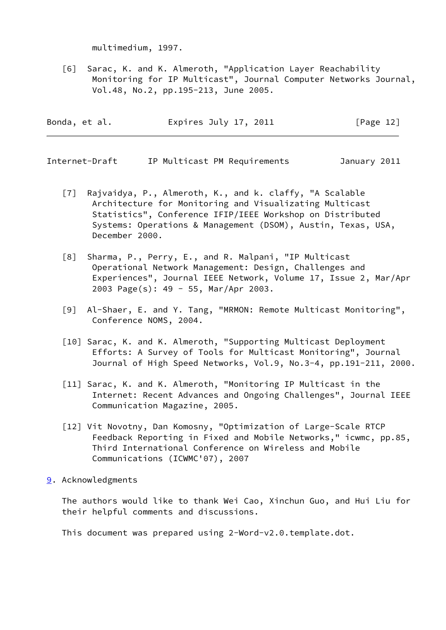multimedium, 1997.

<span id="page-13-2"></span> [6] Sarac, K. and K. Almeroth, "Application Layer Reachability Monitoring for IP Multicast", Journal Computer Networks Journal, Vol.48, No.2, pp.195-213, June 2005.

| Bonda, et al. | Expires July 17, 2011 | [Page 12] |
|---------------|-----------------------|-----------|
|               |                       |           |

<span id="page-13-1"></span>Internet-Draft IP Multicast PM Requirements January 2011

- <span id="page-13-4"></span> [7] Rajvaidya, P., Almeroth, K., and k. claffy, "A Scalable Architecture for Monitoring and Visualizating Multicast Statistics", Conference IFIP/IEEE Workshop on Distributed Systems: Operations & Management (DSOM), Austin, Texas, USA, December 2000.
- <span id="page-13-6"></span> [8] Sharma, P., Perry, E., and R. Malpani, "IP Multicast Operational Network Management: Design, Challenges and Experiences", Journal IEEE Network, Volume 17, Issue 2, Mar/Apr 2003 Page(s): 49 - 55, Mar/Apr 2003.
- <span id="page-13-5"></span> [9] Al-Shaer, E. and Y. Tang, "MRMON: Remote Multicast Monitoring", Conference NOMS, 2004.
- <span id="page-13-7"></span> [10] Sarac, K. and K. Almeroth, "Supporting Multicast Deployment Efforts: A Survey of Tools for Multicast Monitoring", Journal Journal of High Speed Networks, Vol.9, No.3-4, pp.191-211, 2000.
- [11] Sarac, K. and K. Almeroth, "Monitoring IP Multicast in the Internet: Recent Advances and Ongoing Challenges", Journal IEEE Communication Magazine, 2005.
- <span id="page-13-3"></span>[12] Vit Novotny, Dan Komosny, "Optimization of Large-Scale RTCP Feedback Reporting in Fixed and Mobile Networks," icwmc, pp.85, Third International Conference on Wireless and Mobile Communications (ICWMC'07), 2007
- <span id="page-13-0"></span>[9](#page-13-0). Acknowledgments

 The authors would like to thank Wei Cao, Xinchun Guo, and Hui Liu for their helpful comments and discussions.

This document was prepared using 2-Word-v2.0.template.dot.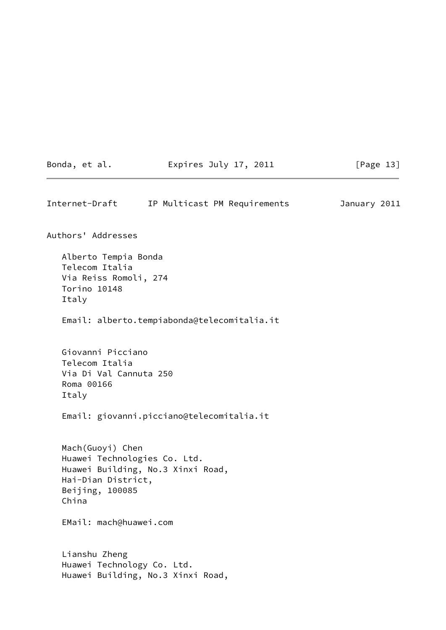|  | Bonda, |  | et al. |
|--|--------|--|--------|
|--|--------|--|--------|

Expires July 17, 2011 [Page 13]

Internet-Draft IP Multicast PM Requirements January 2011 Authors' Addresses Alberto Tempia Bonda Telecom Italia Via Reiss Romoli, 274 Torino 10148 Italy Email: alberto.tempiabonda@telecomitalia.it Giovanni Picciano Telecom Italia Via Di Val Cannuta 250 Roma 00166 Italy Email: giovanni.picciano@telecomitalia.it Mach(Guoyi) Chen Huawei Technologies Co. Ltd. Huawei Building, No.3 Xinxi Road, Hai-Dian District, Beijing, 100085 China EMail: mach@huawei.com Lianshu Zheng Huawei Technology Co. Ltd. Huawei Building, No.3 Xinxi Road,